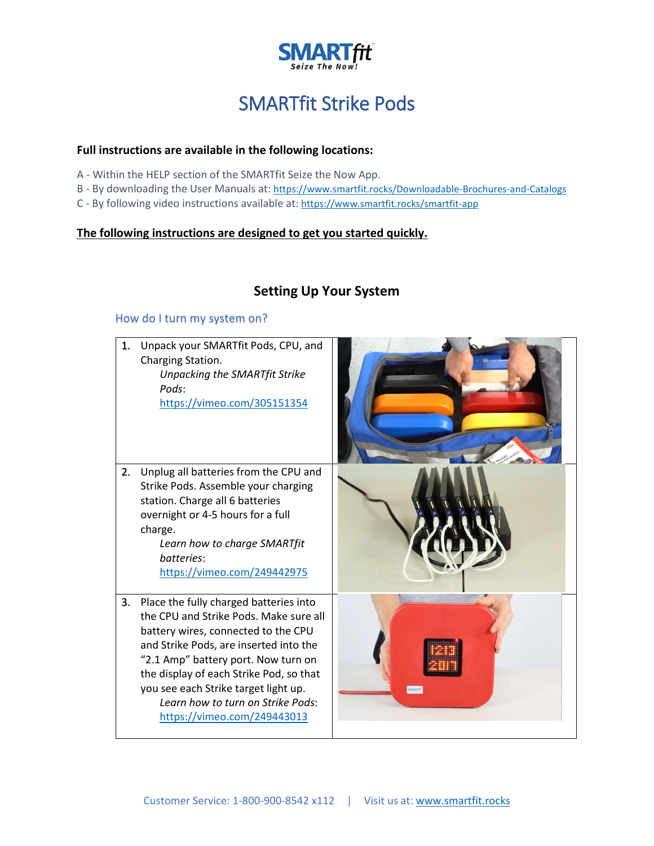

# SMARTfit Strike Pods

#### **Full instructions are available in the following locations:**

- A Within the HELP section of the SMARTfit Seize the Now App.
- B By downloading the User Manuals at: <https://www.smartfit.rocks/Downloadable-Brochures-and-Catalogs>
- C By following video instructions available at: <https://www.smartfit.rocks/smartfit-app>

#### **The following instructions are designed to get you started quickly.**

# **Setting Up Your System**

#### How do I turn my system on?

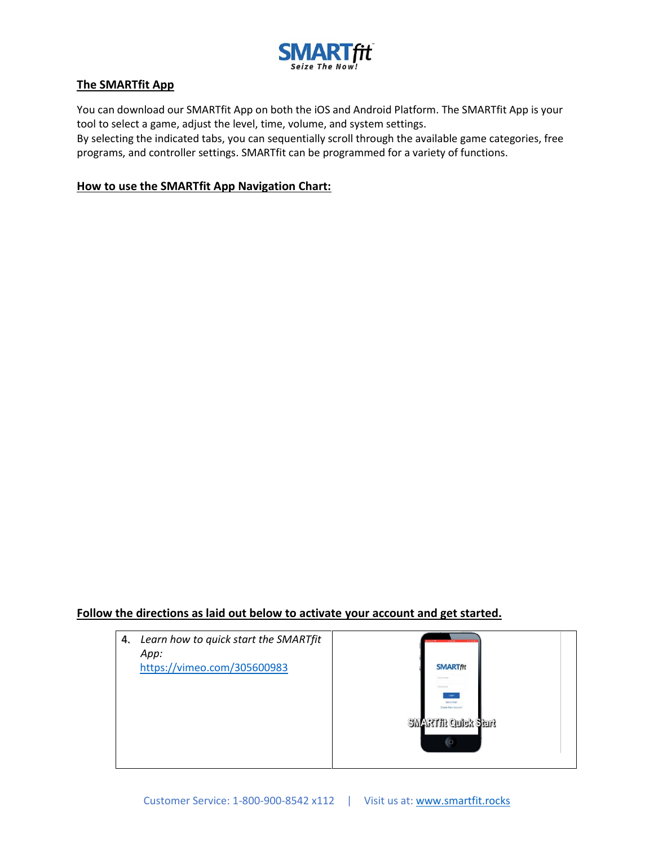

#### **The SMARTfit App**

You can download our SMARTfit App on both the iOS and Android Platform. The SMARTfit App is your tool to select a game, adjust the level, time, volume, and system settings.

By selecting the indicated tabs, you can sequentially scroll through the available game categories, free programs, and controller settings. SMARTfit can be programmed for a variety of functions.

#### **How to use the SMARTfit App Navigation Chart:**

#### **Follow the directions as laid out below to activate your account and get started.**

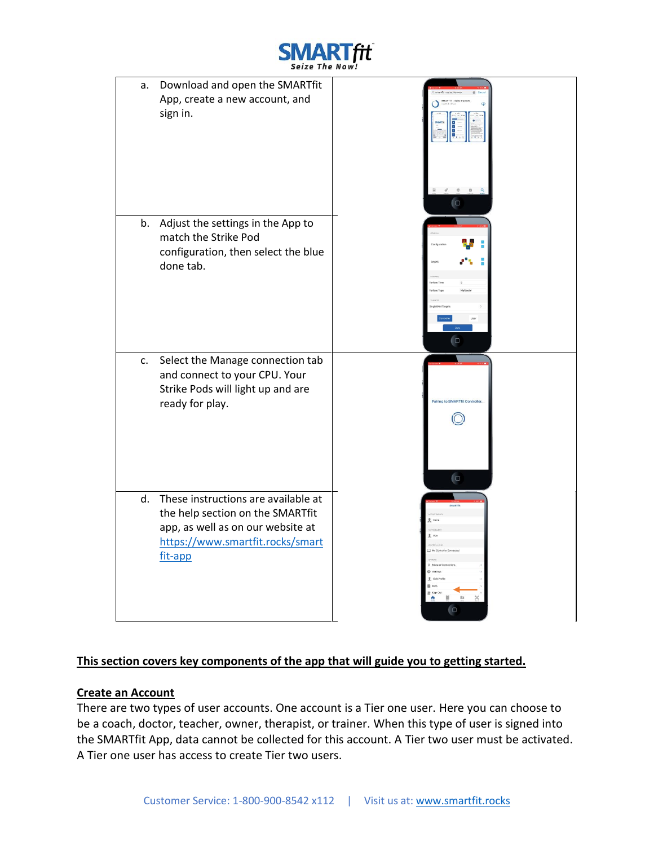

a. Download and open the SMARTfit App, create a new account, and sign in. b. Adjust the settings in the App to match the Strike Pod configuration, then select the blue done tab. c. Select the Manage connection tab and connect to your CPU. Your Strike Pods will light up and are ready for play. d. These instructions are available at the help section on the SMARTfit app, as well as on our website at [https://www.smartfit.rocks/smart](https://www.smartfit.rocks/smartfit-app) [fit-app](https://www.smartfit.rocks/smartfit-app)

# **This section covers key components of the app that will guide you to getting started.**

# **Create an Account**

There are two types of user accounts. One account is a Tier one user. Here you can choose to be a coach, doctor, teacher, owner, therapist, or trainer. When this type of user is signed into the SMARTfit App, data cannot be collected for this account. A Tier two user must be activated. A Tier one user has access to create Tier two users.

 $\odot$ 

**C**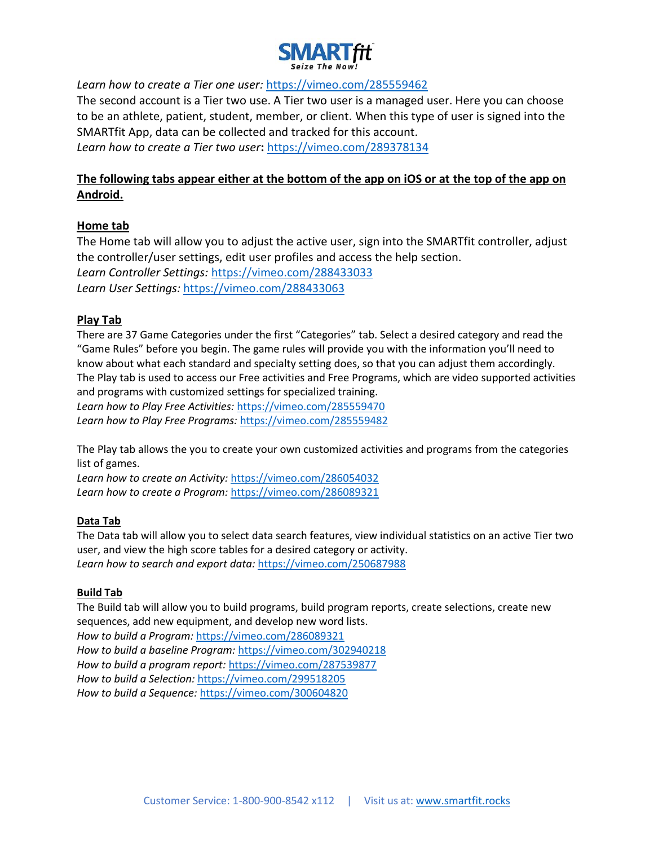

*Learn how to create a Tier one user:* <https://vimeo.com/285559462>

The second account is a Tier two use. A Tier two user is a managed user. Here you can choose to be an athlete, patient, student, member, or client. When this type of user is signed into the SMARTfit App, data can be collected and tracked for this account. *Learn how to create a Tier two user***:** <https://vimeo.com/289378134>

# **The following tabs appear either at the bottom of the app on iOS or at the top of the app on Android.**

# **Home tab**

The Home tab will allow you to adjust the active user, sign into the SMARTfit controller, adjust the controller/user settings, edit user profiles and access the help section. *Learn Controller Settings:* <https://vimeo.com/288433033> *Learn User Settings:* <https://vimeo.com/288433063>

#### **Play Tab**

There are 37 Game Categories under the first "Categories" tab. Select a desired category and read the "Game Rules" before you begin. The game rules will provide you with the information you'll need to know about what each standard and specialty setting does, so that you can adjust them accordingly. The Play tab is used to access our Free activities and Free Programs, which are video supported activities and programs with customized settings for specialized training.

*Learn how to Play Free Activities:* <https://vimeo.com/285559470> *Learn how to Play Free Programs:* <https://vimeo.com/285559482>

The Play tab allows the you to create your own customized activities and programs from the categories list of games.

*Learn how to create an Activity:* <https://vimeo.com/286054032> *Learn how to create a Program:* <https://vimeo.com/286089321>

#### **Data Tab**

The Data tab will allow you to select data search features, view individual statistics on an active Tier two user, and view the high score tables for a desired category or activity. *Learn how to search and export data:* <https://vimeo.com/250687988>

#### **Build Tab**

The Build tab will allow you to build programs, build program reports, create selections, create new sequences, add new equipment, and develop new word lists. *How to build a Program:* <https://vimeo.com/286089321> *How to build a baseline Program:* <https://vimeo.com/302940218> *How to build a program report:* <https://vimeo.com/287539877> *How to build a Selection:* <https://vimeo.com/299518205> *How to build a Sequence:* <https://vimeo.com/300604820>